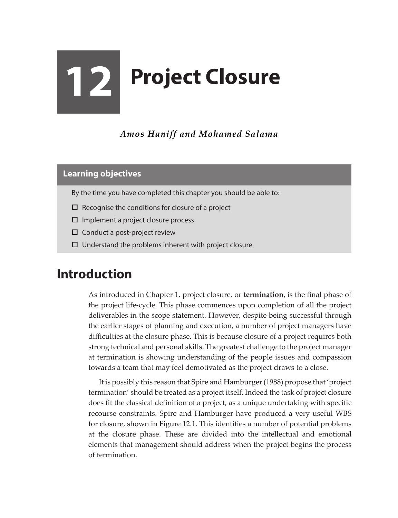## **12 Project Closure**

*Amos Haniff and Mohamed Salama*

## **Learning objectives**

- By the time you have completed this chapter you should be able to:
- $\Box$  Recognise the conditions for closure of a project
- $\square$  Implement a project closure process
- $\square$  Conduct a post-project review
- $\Box$  Understand the problems inherent with project closure

## **Introduction**

As introduced in Chapter 1, project closure, or **termination,** is the final phase of the project life-cycle. This phase commences upon completion of all the project deliverables in the scope statement. However, despite being successful through the earlier stages of planning and execution, a number of project managers have difficulties at the closure phase. This is because closure of a project requires both strong technical and personal skills. The greatest challenge to the project manager at termination is showing understanding of the people issues and compassion towards a team that may feel demotivated as the project draws to a close.

It is possibly this reason that Spire and Hamburger (1988) propose that 'project termination' should be treated as a project itself. Indeed the task of project closure does fit the classical definition of a project, as a unique undertaking with specific recourse constraints. Spire and Hamburger have produced a very useful WBS for closure, shown in Figure 12.1. This identifies a number of potential problems at the closure phase. These are divided into the intellectual and emotional elements that management should address when the project begins the process of termination.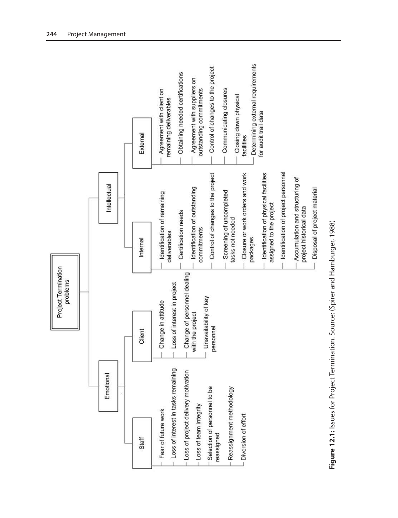